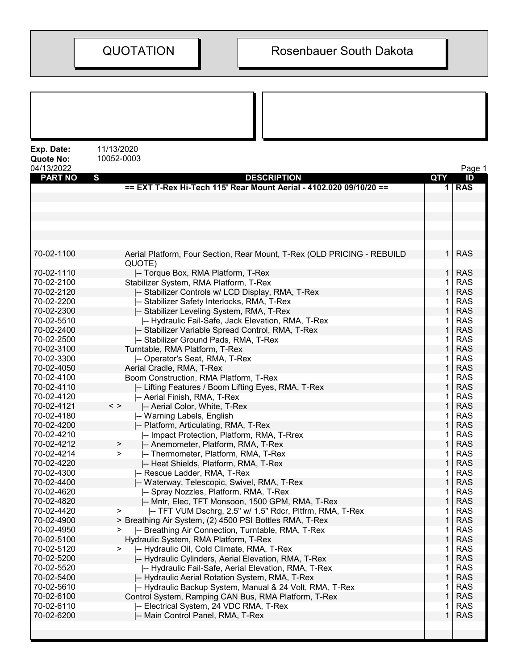| Exp. Date:<br><b>Quote No:</b><br>04/13/2022 | 11/13/2020<br>10052-0003                                                |        | Page 1                   |
|----------------------------------------------|-------------------------------------------------------------------------|--------|--------------------------|
| <b>PART NO</b>                               | S<br><b>DESCRIPTION</b>                                                 | QTY    | ID                       |
|                                              | == EXT T-Rex Hi-Tech 115' Rear Mount Aerial - 4102.020 09/10/20 ==      |        | <b>RAS</b>               |
|                                              |                                                                         |        |                          |
|                                              |                                                                         |        |                          |
|                                              |                                                                         |        |                          |
|                                              |                                                                         |        |                          |
|                                              |                                                                         |        |                          |
|                                              |                                                                         |        |                          |
| 70-02-1100                                   | Aerial Platform, Four Section, Rear Mount, T-Rex (OLD PRICING - REBUILD | 1      | <b>RAS</b>               |
|                                              | QUOTE)                                                                  |        |                          |
| 70-02-1110                                   | -- Torque Box, RMA Platform, T-Rex                                      | 1      | <b>RAS</b>               |
| 70-02-2100                                   | Stabilizer System, RMA Platform, T-Rex                                  |        | <b>RAS</b>               |
| 70-02-2120                                   | -- Stabilizer Controls w/ LCD Display, RMA, T-Rex                       |        | <b>RAS</b>               |
| 70-02-2200                                   | -- Stabilizer Safety Interlocks, RMA, T-Rex                             |        | <b>RAS</b>               |
| 70-02-2300                                   | -- Stabilizer Leveling System, RMA, T-Rex                               |        | <b>RAS</b>               |
| 70-02-5510                                   | -- Hydraulic Fail-Safe, Jack Elevation, RMA, T-Rex                      |        | <b>RAS</b>               |
| 70-02-2400                                   | -- Stabilizer Variable Spread Control, RMA, T-Rex                       | 1      | <b>RAS</b>               |
| 70-02-2500                                   | -- Stabilizer Ground Pads, RMA, T-Rex                                   | 1      | <b>RAS</b>               |
| 70-02-3100                                   |                                                                         |        | <b>RAS</b>               |
|                                              | Turntable, RMA Platform, T-Rex                                          |        |                          |
| 70-02-3300                                   | -- Operator's Seat, RMA, T-Rex                                          |        | <b>RAS</b><br><b>RAS</b> |
| 70-02-4050<br>70-02-4100                     | Aerial Cradle, RMA, T-Rex                                               | 1      | <b>RAS</b>               |
| 70-02-4110                                   | Boom Construction, RMA Platform, T-Rex                                  |        | <b>RAS</b>               |
|                                              | -- Lifting Features / Boom Lifting Eyes, RMA, T-Rex                     |        |                          |
| 70-02-4120<br>70-02-4121                     | -- Aerial Finish, RMA, T-Rex<br>$\langle$ >                             | 1<br>1 | <b>RAS</b><br><b>RAS</b> |
| 70-02-4180                                   | -- Aerial Color, White, T-Rex                                           |        | <b>RAS</b>               |
| 70-02-4200                                   | -- Warning Labels, English<br>-- Platform, Articulating, RMA, T-Rex     |        | <b>RAS</b>               |
| 70-02-4210                                   | -- Impact Protection, Platform, RMA, T-Rrex                             |        | <b>RAS</b>               |
| 70-02-4212                                   | -- Anemometer, Platform, RMA, T-Rex<br>>                                |        | <b>RAS</b>               |
| 70-02-4214                                   | -- Thermometer, Platform, RMA, T-Rex<br>>                               |        | <b>RAS</b>               |
| 70-02-4220                                   | I-- Heat Shields, Platform, RMA, T-Rex                                  |        | <b>RAS</b>               |
| 70-02-4300                                   | -- Rescue Ladder, RMA, T-Rex                                            | 1      | <b>RAS</b>               |
| 70-02-4400                                   | -- Waterway, Telescopic, Swivel, RMA, T-Rex                             | 1      | <b>RAS</b>               |
| 70-02-4620                                   | I-- Spray Nozzles, Platform, RMA, T-Rex                                 |        | <b>RAS</b>               |
| 70-02-4820                                   | -- Mntr, Elec, TFT Monsoon, 1500 GPM, RMA, T-Rex                        |        | <b>RAS</b>               |
| 70-02-4420                                   | -- TFT VUM Dschrg, 2.5" w/ 1.5" Rdcr, Pltfrm, RMA, T-Rex<br>>           |        | <b>RAS</b>               |
| 70-02-4900                                   | > Breathing Air System, (2) 4500 PSI Bottles RMA, T-Rex                 |        | <b>RAS</b>               |
| 70-02-4950                                   | -- Breathing Air Connection, Turntable, RMA, T-Rex<br>⋗                 |        | <b>RAS</b>               |
| 70-02-5100                                   | Hydraulic System, RMA Platform, T-Rex                                   |        | <b>RAS</b>               |
| 70-02-5120                                   | -- Hydraulic Oil, Cold Climate, RMA, T-Rex<br>⋗                         | 1      | <b>RAS</b>               |
| 70-02-5200                                   | -- Hydraulic Cylinders, Aerial Elevation, RMA, T-Rex                    | 1      | <b>RAS</b>               |
| 70-02-5520                                   | -- Hydraulic Fail-Safe, Aerial Elevation, RMA, T-Rex                    | 1      | <b>RAS</b>               |
| 70-02-5400                                   | -- Hydraulic Aerial Rotation System, RMA, T-Rex                         |        | <b>RAS</b>               |
| 70-02-5610                                   | -- Hydraulic Backup System, Manual & 24 Volt, RMA, T-Rex                | 1      | <b>RAS</b>               |
| 70-02-6100                                   | Control System, Ramping CAN Bus, RMA Platform, T-Rex                    |        | <b>RAS</b>               |
| 70-02-6110                                   | -- Electrical System, 24 VDC RMA, T-Rex                                 | 1      | <b>RAS</b>               |
| 70-02-6200                                   | -- Main Control Panel, RMA, T-Rex                                       | 1      | <b>RAS</b>               |
|                                              |                                                                         |        |                          |
|                                              |                                                                         |        |                          |